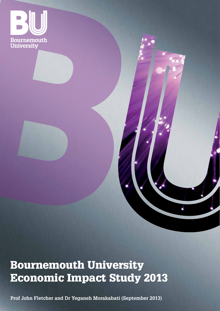

# Bournemouth University Economic Impact Study 2013

**Prof John Fletcher and Dr Yeganeh Morakabati (September 2013)**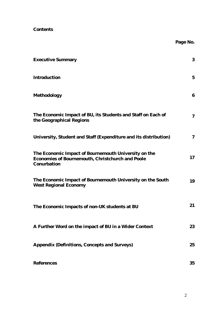**Contents**

|                                                                                                                         | Page No.       |
|-------------------------------------------------------------------------------------------------------------------------|----------------|
| <b>Executive Summary</b>                                                                                                | 3              |
| Introduction                                                                                                            | 5              |
| Methodology                                                                                                             | 6              |
| The Economic Impact of BU, its Students and Staff on Each of<br>the Geographical Regions                                | $\overline{7}$ |
| University, Student and Staff (Expenditure and its distribution)                                                        | $\overline{7}$ |
| The Economic Impact of Bournemouth University on the<br>Economies of Bournemouth, Christchurch and Poole<br>Conurbation | 17             |
| The Economic Impact of Bournemouth University on the South<br>West Regional Economy                                     | 19             |
| The Economic Impacts of non-UK students at BU                                                                           | 21             |
| A Further Word on the impact of BU in a Wider Context                                                                   | 23             |
| Appendix (Definitions, Concepts and Surveys)                                                                            | 25             |
| References                                                                                                              | 35             |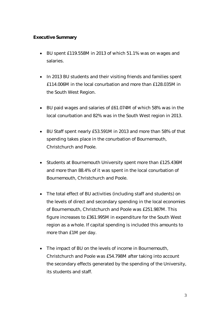### **Executive Summary**

- BU spent £119.558M in 2013 of which 51.1% was on wages and salaries.
- In 2013 BU students and their visiting friends and families spent £114.006M in the local conurbation and more than £128.035M in the South West Region.
- BU paid wages and salaries of £61.074M of which 58% was in the local conurbation and 82% was in the South West region in 2013.
- BU Staff spent nearly £53.591M in 2013 and more than 58% of that spending takes place in the conurbation of Bournemouth, Christchurch and Poole.
- Students at Bournemouth University spent more than £125.436M and more than 88.4% of it was spent in the local conurbation of Bournemouth, Christchurch and Poole.
- The total effect of BU activities (including staff and students) on the levels of direct and secondary spending in the local economies of Bournemouth, Christchurch and Poole was £251.987M. This figure increases to £361.995M in expenditure for the South West region as a whole. If capital spending is included this amounts to more than £1M per day.
- The impact of BU on the levels of income in Bournemouth, Christchurch and Poole was £54.798M after taking into account the secondary effects generated by the spending of the University, its students and staff.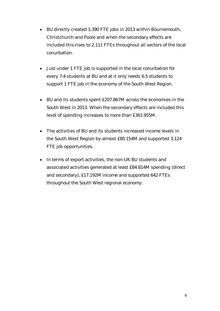- BU directly created 1,390 FTE jobs in 2013 within Bournemouth, Christchurch and Poole and when the secondary effects are included this rises to 2,111 FTEs throughout all sectors of the local conurbation.
- Just under 1 FTE job is supported in the local conurbation for every 7.4 students at BU and at it only needs 6.5 students to support 1 FTE job in the economy of the South West Region.
- BU and its students spent £207.867M across the economies in the South West in 2013. When the secondary effects are included this level of spending increases to more than £361.955M.
- The activities of BU and its students increased income levels in the South West Region by almost £80.154M and supported 3,124 FTE job opportunities.
- In terms of export activities, the non-UK BU students and associated activities generated at least £84.814M spending (direct and secondary), £17.192M income and supported 642 FTEs throughout the South West regional economy.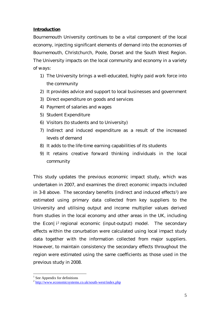## **Introduction**

Bournemouth University continues to be a vital component of the local economy, injecting significant elements of demand into the economies of Bournemouth, Christchurch, Poole, Dorset and the South West Region. The University impacts on the local community and economy in a variety of ways:

- 1) The University brings a well-educated, highly paid work force into the community
- 2) It provides advice and support to local businesses and government
- 3) Direct expenditure on goods and services
- 4) Payment of salaries and wages
- 5) Student Expenditure
- 6) Visitors (to students and to University)
- 7) Indirect and induced expenditure as a result of the increased levels of demand
- 8) It adds to the life-time earning capabilities of its students
- 9) It retains creative forward thinking individuals in the local community

This study updates the previous economic impact study, which was undertaken in 2007, and examines the direct economic impacts included in 3-8 above. The secondary benefits (indirect and induced effects<sup>1</sup>) are estimated using primary data collected from key suppliers to the University and utilising output and income multiplier values derived from studies in the local economy and other areas in the UK, including the Econ | i<sup>2</sup> regional economic (input-output) model. The secondary effects within the conurbation were calculated using local impact study data together with the information collected from major suppliers. However, to maintain consistency the secondary effects throughout the region were estimated using the same coefficients as those used in the previous study in 2008.

<sup>&</sup>lt;u>.</u>  $<sup>1</sup>$  See Appendix for definitions</sup>

<sup>&</sup>lt;sup>2</sup> <http://www.economicsystems.co.uk/south-west/index.php>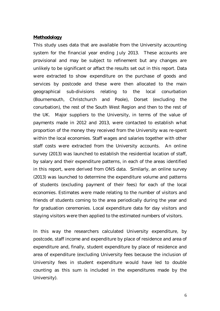#### **Methodology**

This study uses data that are available from the University accounting system for the financial year ending July 2013. These accounts are provisional and may be subject to refinement but any changes are unlikely to be significant or affact the results set out in this report. Data were extracted to show expenditure on the purchase of goods and services by postcode and these were then allocated to the main geographical sub-divisions relating to the local conurbation (Bournemouth, Christchurch and Poole), Dorset (excluding the conurbation), the rest of the South West Region and then to the rest of the UK. Major suppliers to the University, in terms of the value of payments made in 2012 and 2013, were contacted to establish what proportion of the money they received from the University was re-spent within the local economies. Staff wages and salaries together with other staff costs were extracted from the University accounts. An online survey (2013) was launched to establish the residential location of staff, by salary and their expenditure patterns, in each of the areas identified in this report, were derived from ONS data. Similarly, an online survey (2013) was launched to determine the expenditure volume and patterns of students (excluding payment of their fees) for each of the local economies. Estimates were made relating to the number of visitors and friends of students coming to the area periodically during the year and for graduation ceremonies. Local expenditure data for day visitors and staying visitors were then applied to the estimated numbers of visitors.

In this way the researchers calculated University expenditure, by postcode, staff income and expenditure by place of residence and area of expenditure and, finally, student expenditure by place of residence and area of expenditure (excluding University fees because the inclusion of University fees in student expenditure would have led to double counting as this sum is included in the expenditures made by the University).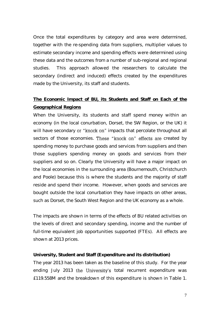Once the total expenditures by category and area were determined, together with the re-spending data from suppliers, multiplier values to estimate secondary income and spending effects were determined using these data and the outcomes from a number of sub-regional and regional studies. This approach allowed the researchers to calculate the secondary (indirect and induced) effects created by the expenditures made by the University, its staff and students.

# **The Economic Impact of BU, its Students and Staff on Each of the Geographical Regions**

When the University, its students and staff spend money within an economy (in the local conurbation, Dorset, the SW Region, or the UK) it will have secondary or "knock on" impacts that percolate throughout all sectors of those economies. These "knock on" effects are created by spending money to purchase goods and services from suppliers and then those suppliers spending money on goods and services from their suppliers and so on. Clearly the University will have a major impact on the local economies in the surrounding area (Bournemouth, Christchurch and Poole) because this is where the students and the majority of staff reside and spend their income. However, when goods and services are bought outside the local conurbation they have impacts on other areas, such as Dorset, the South West Region and the UK economy as a whole.

The impacts are shown in terms of the effects of BU related activities on the levels of direct and secondary spending, income and the number of full-time equivalent job opportunities supported (FTEs). All effects are shown at 2013 prices.

**University, Student and Staff (Expenditure and its distribution)** The year 2013 has been taken as the baseline of this study. For the year ending July 2013 the University's total recurrent expenditure was £119.558M and the breakdown of this expenditure is shown in Table 1.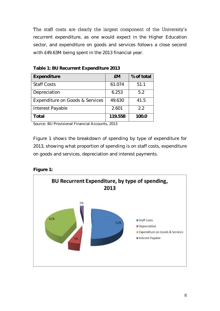The staff costs are clearly the largest component of the University's recurrent expenditure, as one would expect in the Higher Education sector, and expenditure on goods and services follows a close second with £49.63M being spent in the 2013 financial year.

| Expenditure                     | <b>EM</b> | % of total |
|---------------------------------|-----------|------------|
| <b>Staff Costs</b>              | 61.074    | 51.1       |
| Depreciation                    | 6.253     | 5.2        |
| Expenditure on Goods & Services | 49.630    | 41.5       |
| Interest Payable                | 2.601     | 2.2        |
| Total                           | 119.558   | 100.0      |

**Table 1: BU Recurrent Expenditure 2013**

Source: BU Provisional Financial Accounts, 2013

Figure 1 shows the breakdown of spending by type of expenditure for 2013, showing what proportion of spending is on staff costs, expenditure on goods and services, depreciation and interest payments.

**Figure 1:** 

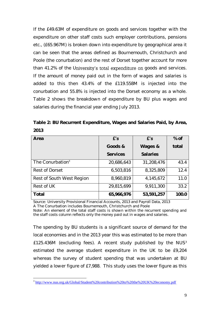If the £49.63M of expenditure on goods and services together with the expenditure on other staff costs such employer contributions, pensions etc., (£65.967M) is broken down into expenditure by geographical area it can be seen that the areas defined as Bournemouth, Christchurch and Poole (the conurbation) and the rest of Dorset together account for more than 41.2% of the University's total expenditure on goods and services. If the amount of money paid out in the form of wages and salaries is added to this then 43.4% of the £119.558M is injected into the conurbation and 55.8% is injected into the Dorset economy as a whole. Table 2 shows the breakdown of expenditure by BU plus wages and salaries during the financial year ending July 2013.

|      | Table 2: BU Recurrent Expenditure, Wages and Salaries Paid, by Area, |  |  |  |
|------|----------------------------------------------------------------------|--|--|--|
| 2013 |                                                                      |  |  |  |

| Area                         | f's        | f's        | % of  |
|------------------------------|------------|------------|-------|
|                              | Goods &    | Wages &    | total |
|                              | Services   | Salaries   |       |
| The Conurbation <sup>a</sup> | 20,686,643 | 31,208,476 | 43.4  |
| Rest of Dorset               | 6,503,816  | 8,325,809  | 12.4  |
| Rest of South West Region    | 8,960,819  | 4,145,672  | 11.0  |
| Rest of UK                   | 29,815,699 | 9,911,300  | 33.2  |
| Total                        | 65,966,976 | 53,591,257 | 100.0 |

Source: University Provisional Financial Accounts, 2013 and Payroll Data, 2013 A The Conurbation includes Bournemouth, Christchurch and Poole

Note: An element of the total staff costs is shown within the recurrent spending and the staff costs column reflects only the money paid out in wages and salaries.

The spending by BU students is a significant source of demand for the local economies and in the 2013 year this was estimated to be more than £125.436M (excluding fees). A recent study published by the NUS<sup>3</sup> estimated the average student expenditure in the UK to be £9,204 whereas the survey of student spending that was undertaken at BU yielded a lower figure of £7,988. This study uses the lower figure as this

 3 <http://www.nus.org.uk/Global/Student%20contribution%20to%20the%20UK%20economy.pdf>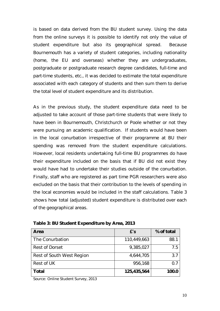is based on data derived from the BU student survey. Using the data from the online surveys it is possible to identify not only the value of student expenditure but also its geographical spread. Because Bournemouth has a variety of student categories, including nationality (home, the EU and overseas) whether they are undergraduates, postgraduate or postgraduate research degree candidates, full-time and part-time students, etc., it was decided to estimate the total expenditure associated with each category of students and then sum them to derive the total level of student expenditure and its distribution.

As in the previous study, the student expenditure data need to be adjusted to take account of those part-time students that were likely to have been in Bournemouth, Christchurch or Poole whether or not they were pursuing an academic qualification. If students would have been in the local conurbation irrespective of their programme at BU their spending was removed from the student expenditure calculations. However, local residents undertaking full-time BU programmes do have their expenditure included on the basis that if BU did not exist they would have had to undertake their studies outside of the conurbation. Finally, staff who are registered as part time PGR researchers were also excluded on the basis that their contribution to the levels of spending in the local economies would be included in the staff calculations. Table 3 shows how total (adjusted) student expenditure is distributed over each of the geographical areas.

| Area                      | f's         | % of total         |
|---------------------------|-------------|--------------------|
| The Conurbation           | 110,449,663 | 88.1               |
| <b>Rest of Dorset</b>     | 9,385,027   | 75                 |
| Rest of South West Region | 4,644,705   | 3.7                |
| Rest of UK                | 956,168     | $\left( \ \right)$ |
| Total                     | 125,435,564 |                    |

**Table 3: BU Student Expenditure by Area, 2013**

Source: Online Student Survey, 2013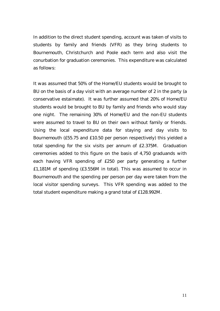In addition to the direct student spending, account was taken of visits to students by family and friends (VFR) as they bring students to Bournemouth, Christchurch and Poole each term and also visit the conurbation for graduation ceremonies. This expenditure was calculated as follows:

It was assumed that 50% of the Home/EU students would be brought to BU on the basis of a day visit with an average number of 2 in the party (a conservative estaimate). It was further assumed that 20% of Home/EU students would be brought to BU by family and friends who would stay one night. The remaining 30% of Home/EU and the non-EU students were assumed to travel to BU on their own without family or friends. Using the local expenditure data for staying and day visits to Bournemouth (£55.75 and £10.50 per person respectively) this yielded a total spending for the six visits per annum of £2.375M. Graduation ceremonies added to this figure on the basis of 4,750 graduands with each having VFR spending of £250 per party generating a further £1,181M of spending (£3.556M in total). This was assumed to occur in Bournemouth and the spending per person per day were taken from the local visitor spending surveys. This VFR spending was added to the total student expenditure making a grand total of £128.992M.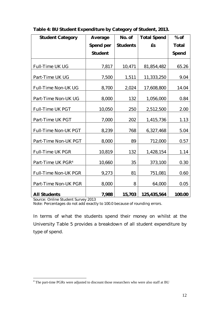| <b>Student Category</b>       | Average   | No. of   | <b>Total Spend</b> | $%$ of |
|-------------------------------|-----------|----------|--------------------|--------|
|                               | Spend per | Students | £s                 | Total  |
|                               | Student   |          |                    | Spend  |
| Full-Time UK UG               | 7,817     | 10,471   | 81,854,482         | 65.26  |
| Part-Time UK UG               | 7,500     | 1,511    | 11,333,250         | 9.04   |
| Full-Time Non-UK UG           | 8,700     | 2,024    | 17,608,800         | 14.04  |
| Part-Time Non-UK UG           | 8,000     | 132      | 1,056,000          | 0.84   |
| Full-Time UK PGT              | 10,050    | 250      | 2,512,500          | 2.00   |
| Part-Time UK PGT              | 7,000     | 202      | 1,415,736          | 1.13   |
| Full-Time Non-UK PGT          | 8,239     | 768      | 6,327,468          | 5.04   |
| Part-Time Non-UK PGT          | 8,000     | 89       | 712,000            | 0.57   |
| Full-Time UK PGR              | 10,819    | 132      | 1,428,154          | 1.14   |
| Part-Time UK PGR <sup>4</sup> | 10,660    | 35       | 373,100            | 0.30   |
| Full-Time Non-UK PGR          | 9,273     | 81       | 751,081            | 0.60   |
| Part-Time Non-UK PGR          | 8,000     | 8        | 64,000             | 0.05   |
| <b>All Students</b>           | 7,988     | 15,703   | 125,435,564        | 100.00 |

Source: Online Student Survey 2013

Note: Percentages do not add exactly to 100.0 because of rounding errors.

In terms of what the students spend their money on whilst at the University Table 5 provides a breakdown of all student expenditure by type of spend.

<sup>1</sup>  $4$  The part-time PGRs were adjusted to discount those researchers who were also staff at BU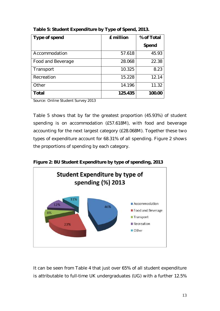| Type of spend     | £ million | % of Total |
|-------------------|-----------|------------|
|                   |           | Spend      |
| Accommodation     | 57.618    | 45.93      |
| Food and Beverage | 28.068    | 22.38      |
| Transport         | 10.325    | 8.23       |
| Recreation        | 15.228    | 12.14      |
| Other             | 14.196    | 11.32      |
| Total             | 125.435   | 100.00     |

**Table 5: Student Expenditure by Type of Spend, 2013.**

Source: Online Student Survey 2013

Table 5 shows that by far the greatest proportion (45.93%) of student spending is on accommodation (£57.618M), with food and beverage accounting for the next largest category (£28.068M). Together these two types of expenditure account for 68.31% of all spending. Figure 2 shows the proportions of spending by each category.





It can be seen from Table 4 that just over 65% of all student expenditure is attributable to full-time UK undergraduates (UG) with a further 12.5%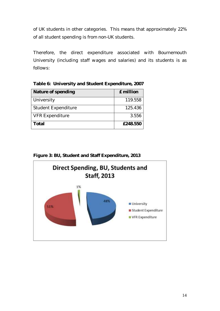of UK students in other categories. This means that approximately 22% of all student spending is from non-UK students.

Therefore, the direct expenditure associated with Bournemouth University (including staff wages and salaries) and its students is as follows:

| Table 6: University and Student Expenditure, 2007 |                         |
|---------------------------------------------------|-------------------------|
| Nature of spending                                | $E$ million $\parallel$ |

| Nature of spending         | E million |
|----------------------------|-----------|
| University                 | 119.558   |
| <b>Student Expenditure</b> | 125.436   |
| <b>VFR Expenditure</b>     | 3.556     |
| Total                      | £248.550  |

**Figure 3: BU, Student and Staff Expenditure, 2013**

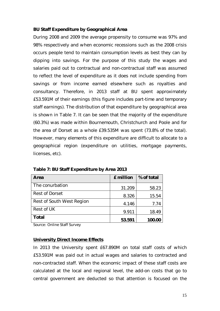#### **BU Staff Expenditure by Geographical Area**

During 2008 and 2009 the average propensity to consume was 97% and 98% respectively and when economic recessions such as the 2008 crisis occurs people tend to maintain consumption levels as best they can by dipping into savings. For the purpose of this study the wages and salaries paid out to contractual and non-contractual staff was assumed to reflect the level of expenditure as it does not include spending from savings or from income earned elsewhere such as royalties and consultancy. Therefore, in 2013 staff at BU spent approximately £53.591M of their earnings (this figure includes part-time and temporary staff earnings). The distribution of that expenditure by geographical area is shown in Table 7. It can be seen that the majority of the expenditure (60.3%) was made within Bournemouth, Christchurch and Poole and for the area of Dorset as a whole £39.535M was spent (73.8% of the total). However, many elements of this expenditure are difficult to allocate to a geographical region (expenditure on utilities, mortgage payments, licenses, etc).

| Area                      | £ million | % of total |
|---------------------------|-----------|------------|
| The conurbation           | 31.209    | 58.23      |
| Rest of Dorset            | 8.326     | 15.54      |
| Rest of South West Region | 4.146     | 7.74       |
| Rest of UK                | 9.911     | 18.49      |
| Total                     | 53.591    |            |

**Table 7: BU Staff Expenditure by Area 2013**

Source: Online Staff Survey

### **University Direct Income Effects**

In 2013 the University spent £67.890M on total staff costs of which £53.591M was paid out in actual wages and salaries to contracted and non-contracted staff. When the economic impact of these staff costs are calculated at the local and regional level, the add-on costs that go to central government are deducted so that attention is focused on the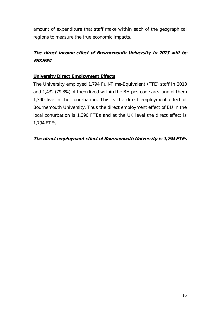amount of expenditure that staff make within each of the geographical regions to measure the true economic impacts.

**The direct income effect of Bournemouth University in 2013 will be £67.89M**

# **University Direct Employment Effects**

The University employed 1,794 Full-Time-Equivalent (FTE) staff in 2013 and 1,432 (79.8%) of them lived within the BH postcode area and of them 1,390 live in the conurbation. This is the direct employment effect of Bournemouth University. Thus the direct employment effect of BU in the local conurbation is 1,390 FTEs and at the UK level the direct effect is 1,794 FTEs.

**The direct employment effect of Bournemouth University is 1,794 FTEs**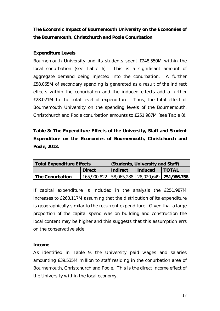**The Economic Impact of Bournemouth University on the Economies of the Bournemouth, Christchurch and Poole Conurbation**

# **Expenditure Levels**

Bournemouth University and its students spent £248.550M within the local conurbation (see Table 6). This is a significant amount of aggregate demand being injected into the conurbation. A further £58.065M of secondary spending is generated as a result of the indirect effects within the conurbation and the induced effects add a further £28.021M to the total level of expenditure. Thus, the total effect of Bournemouth University on the spending levels of the Bournemouth, Christchurch and Poole conurbation amounts to £251.987M (see Table 8).

**Table 8: The Expenditure Effects of the University, Staff and Student Expenditure on the Economies of Bournemouth, Christchurch and Poole, 2013.**

| Total Expenditure Effects | (Students, University and Staff)       |  |                |                                               |
|---------------------------|----------------------------------------|--|----------------|-----------------------------------------------|
|                           | Indirect<br><b>Direct</b><br>l Induced |  | <b>I TOTAL</b> |                                               |
| The Conurbation           |                                        |  |                | 165,900,822 58,065,288 28,020,649 251,986,758 |

If capital expenditure is included in the analysis the £251.987M increases to £268.117M assuming that the distribution of its expenditure is geographically similar to the recurrent expenditure. Given that a large proportion of the capital spend was on building and construction the local content may be higher and this suggests that this assumption errs on the conservative side.

### **Income**

As identified in Table 9, the University paid wages and salaries amounting £39.535M million to staff residing in the conurbation area of Bournemouth, Christchurch and Poole. This is the direct income effect of the University within the local economy.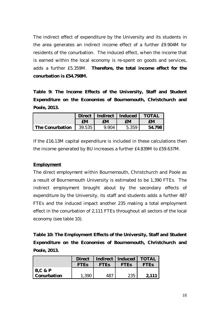The indirect effect of expenditure by the University and its students in the area generates an indirect income effect of a further £9.904M for residents of the conurbation. The induced effect, when the income that is earned within the local economy is re-spent on goods and services, adds a further £5.359M. **Therefore, the total income effect for the conurbation is £54.798M.** 

**Table 9: The Income Effects of the University, Staff and Student Expenditure on the Economies of Bournemouth, Christchurch and Poole, 2013.**

|                 | <b>Direct</b> |       | Indirect   Induced | ΓΟΤΑΙ |
|-----------------|---------------|-------|--------------------|-------|
|                 | £М            | £М    | £М                 | £Μ    |
| The Conurbation | 39.535        | 9.904 | 5.359              | 54    |

If the £16.13M capital expenditure is included in these calculations then the income generated by BU increases a further £4.839M to £59.637M.

#### **Employment**

The direct employment within Bournemouth, Christchurch and Poole as a result of Bournemouth University is estimated to be 1,390 FTEs. The indirect employment brought about by the secondary effects of expenditure by the University, its staff and students adds a further 487 FTEs and the induced impact another 235 making a total employment effect in the conurbation of 2,111 FTEs throughout all sectors of the local economy (see table 10).

**Table 10: The Employment Effects of the University, Staff and Student Expenditure on the Economies of Bournemouth, Christchurch and Poole, 2013.**

|             | Direct      |       | Indirect   Induced | $\overline{A}$ $\overline{A}$ |
|-------------|-------------|-------|--------------------|-------------------------------|
|             | <b>FTES</b> | F IFS | <b>FTFS</b>        | FTES                          |
| $B, C \& P$ |             |       |                    |                               |
| Conurbation |             |       |                    | <b>つ11</b>                    |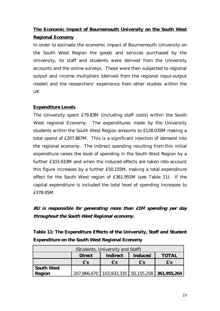# **The Economic Impact of Bournemouth University on the South West Regional Economy**

In order to estimate the economic impact of Bournemouth University on the South West Region the goods and services purchased by the University, its staff and students were derived from the University accounts and the online surveys. These were then subjected to regional output and income multipliers (derived from the regional input-output model) and the researchers' experience from other studies within the UK.

# **Expenditure Levels**

The University spent £79.83M (including staff costs) within the South West regional Economy. The expenditures made by the University students within the South West Region amounts to £128.035M making a total spend of £207.867M. This is a significant injection of demand into the regional economy. The indirect spending resulting from this initial expenditure raises the level of spending in the South West Region by a further £103.933M and when the induced effects are taken into account this figure increases by a further £50.155M, making a total expenditure effect for the South West region of £361.955M (see Table 11). If the capital expenditure is included the total level of spending increases to £378.05M.

**BU is responsible for generating more than £1M spending per day throughout the South West Regional economy.**

**Table 11: The Expenditure Effects of the University, Staff and Student Expenditure on the South West Regional Economy**

| (Students, University and Staff) |                                               |                                                      |     |     |  |
|----------------------------------|-----------------------------------------------|------------------------------------------------------|-----|-----|--|
|                                  | Indirect<br><b>Direct</b><br>Induced<br>TOTAL |                                                      |     |     |  |
|                                  | f's                                           | f's                                                  | f's | f's |  |
| South West                       |                                               |                                                      |     |     |  |
| Region                           |                                               | 207,866,670   103,933,335   50,155,258   361,955,264 |     |     |  |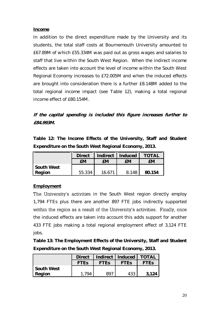#### **Income**

In addition to the direct expenditure made by the University and its students, the total staff costs at Bournemouth University amounted to £67.89M of which £55.334M was paid out as gross wages and salaries to staff that live within the South West Region. When the indirect income effects are taken into account the level of income within the South West Regional Economy increases to £72.005M and when the induced effects are brought into consideration there is a further £8.148M added to the total regional income impact (see Table 12), making a total regional income effect of £80.154M.

**If the capital spending is included this figure increases further to £84.993M.**

**Table 12: The Income Effects of the University, Staff and Student Expenditure on the South West Regional Economy, 2013.**

|            | <b>Direct</b> | Indirect | Induced | $\Delta$ |
|------------|---------------|----------|---------|----------|
|            | £М            | £М       | £М      | £М       |
| South West |               |          |         |          |
| Region     | 55.334        | 166      | 8 148   | 154      |

# **Employment**

The University's activities in the South West region directly employ 1,794 FTEs plus there are another 897 FTE jobs indirectly supported within the region as a result of the University's activities. Finally, once the induced effects are taken into account this adds support for another 433 FTE jobs making a total regional employment effect of 3,124 FTE jobs.

**Table 13: The Employment Effects of the University, Staff and Student Expenditure on the South West Regional Economy, 2013.**

|            | <b>Direct</b> | Indirect   Induced |                        | <b>TOTAL</b>           |
|------------|---------------|--------------------|------------------------|------------------------|
|            | <b>FTES</b>   | <b>FTES</b>        | <b>FTE<sub>S</sub></b> | <b>FTE<sub>S</sub></b> |
| South West |               |                    |                        |                        |
| Region     | 1 794         | 89                 | 433                    | 3121                   |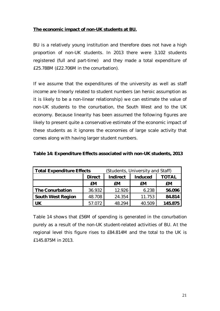### **The economic impact of non-UK students at BU.**

BU is a relatively young institution and therefore does not have a high proportion of non-UK students. In 2013 there were 3,102 students registered (full and part-time) and they made a total expenditure of £25.788M (£22.706M in the conurbation).

If we assume that the expenditures of the university as well as staff income are linearly related to student numbers (an heroic assumption as it is likely to be a non-linear relationship) we can estimate the value of non-UK students to the conurbation, the South West and to the UK economy. Because linearity has been assumed the following figures are likely to present quite a conservative estimate of the economic impact of these students as it ignores the economies of large scale activity that comes along with having larger student numbers.

| <b>Total Expenditure Effects</b> |        |          | (Students, University and Staff) |         |  |
|----------------------------------|--------|----------|----------------------------------|---------|--|
|                                  | Direct | Indirect | Induced                          | TOTAL   |  |
|                                  | £M     | £М       | £M                               | £M.     |  |
| The Conurbation                  | 36.932 | 12.926   | 6.238                            | 56.096  |  |
| South West Region                | 48.708 | 24.354   | 11.753                           | 84.814  |  |
|                                  | 57.072 | 48.294   | 40.509                           | 145.875 |  |

**Table 14: Expenditure Effects associated with non-UK students, 2013**

Table 14 shows that £56M of spending is generated in the conurbation purely as a result of the non-UK student-related activities of BU. At the regional level this figure rises to £84.814M and the total to the UK is £145.875M in 2013.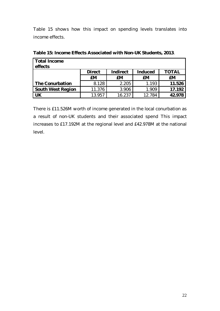Table 15 shows how this impact on spending levels translates into income effects.

| Total Income      |        |          |         |        |
|-------------------|--------|----------|---------|--------|
| effects           |        |          |         |        |
|                   | Direct | Indirect | Induced | TOTAL  |
|                   | £М     | £М       | £М      | £М     |
| The Conurbation   | 8.128  | 2.205    | 1.193   | 11.526 |
| South West Region | 11.376 | 3.906    | 1.909   | 17.192 |
|                   | 13.957 | 16.237   | 12.784  | 42 978 |

**Table 15: Income Effects Associated with Non-UK Students, 2013**.

There is £11.526M worth of income generated in the local conurbation as a result of non-UK students and their associated spend This impact increases to £17.192M at the regional level and £42.978M at the national level.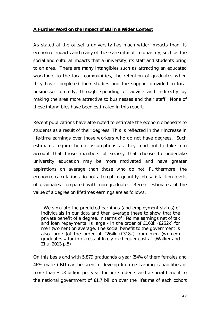#### **A Further Word on the Impact of BU in a Wider Context**

As stated at the outset a university has much wider impacts than its economic impacts and many of these are difficult to quantify, such as the social and cultural impacts that a university, its staff and students bring to an area. There are many intangibles such as attracting an educated workforce to the local communities, the retention of graduates when they have completed their studies and the support provided to local businesses directly, through spending or advice and indirectly by making the area more attractive to businesses and their staff. None of these intangibles have been estimated in this report.

Recent publications have attempted to estimate the economic benefits to students as a result of their degrees. This is reflected in their increase in life-time earnings over those workers who do not have degrees. Such estimates require heroic assumptions as they tend not to take into account that those members of society that choose to undertake university education may be more motivated and have greater aspirations on average than those who do not. Furthermore, the economic calculations do not attempt to quantify job satisfaction levels of graduates compared with non-graduates. Recent estimates of the value of a degree on lifetimes earnings are as follows:

We simulate the predicted earnings (and employment status) of individuals in our data and then average these to show that the private benefit of a degree, in terms of lifetime earnings net of tax and loan repayments, is large - in the order of £168k (£252k) for men (women) on average. The social benefit to the government is also large (of the order of £264k (£318k) from men (women) graduates - far in excess of likely exchequer costs." (Walker and Zhu, 2013 p.5)

On this basis and with 5,879 graduands a year (54% of them females and 46% males) BU can be seen to develop lifetime earning capabilities of more than £1.3 billion per year for our students and a social benefit to the national government of £1.7 billion over the lifetime of each cohort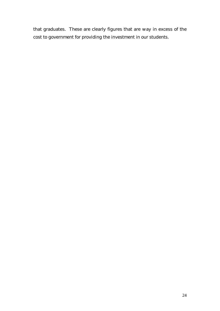that graduates. These are clearly figures that are way in excess of the cost to government for providing the investment in our students.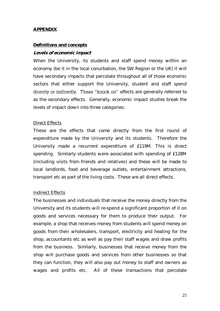#### **APPENDIX**

#### **Definitions and concepts**

#### **Levels of economic impact**

When the University, its students and staff spend money within an economy (be it in the local conurbation, the SW Region or the UK) it will have secondary impacts that percolate throughout all of those economic sectors that either support the University, student and staff spend directly or indirectly. These "knock on" effects are generally referred to as the secondary effects. Generally, economic impact studies break the levels of impact down into three categories:

#### Direct Effects

These are the effects that come directly from the first round of expenditure made by the University and its students. Therefore the University made a recurrent expenditure of £119M. This is direct spending. Similarly students were associated with spending of £128M (including visits from friends and relatives) and these will be made to local landlords, food and beverage outlets, entertainment attractions, transport etc as part of the living costs. These are all direct effects.

#### Indirect Effects

The businesses and individuals that receive the money directly from the University and its students will re-spend a significant proportion of it on goods and services necessary for them to produce their output. For example, a shop that receives money from students will spend money on goods from their wholesalers, transport, electricity and heating for the shop, accountants etc as well as pay their staff wages and draw profits from the business. Similarly, businesses that receive money from the shop will purchase goods and services from other businesses so that they can function, they will also pay out money to staff and owners as wages and profits etc. All of these transactions that percolate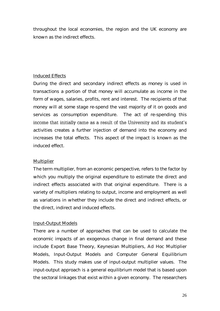throughout the local economies, the region and the UK economy are known as the indirect effects.

## Induced Effects

During the direct and secondary indirect effects as money is used in transactions a portion of that money will accumulate as income in the form of wages, salaries, profits, rent and interest. The recipients of that money will at some stage re-spend the vast majority of it on goods and services as consumption expenditure. The act of re-spending this income that initially came as a result of the University and its student's activities creates a further injection of demand into the economy and increases the total effects. This aspect of the impact is known as the induced effect.

### **Multiplier**

The term multiplier, from an economic perspective, refers to the factor by which you multiply the original expenditure to estimate the direct and indirect effects associated with that original expenditure. There is a variety of multipliers relating to output, income and employment as well as variations in whether they include the direct and indirect effects, or the direct, indirect and induced effects.

#### Input-Output Models

There are a number of approaches that can be used to calculate the economic impacts of an exogenous change in final demand and these include Export Base Theory, Keynesian Multipliers, Ad Hoc Multiplier Models, Input-Output Models and Computer General Equilibrium Models. This study makes use of input-output multiplier values. The input-output approach is a general equilibrium model that is based upon the sectoral linkages that exist within a given economy. The researchers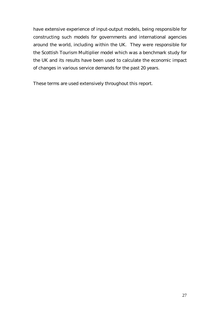have extensive experience of input-output models, being responsible for constructing such models for governments and international agencies around the world, including within the UK. They were responsible for the Scottish Tourism Multiplier model which was a benchmark study for the UK and its results have been used to calculate the economic impact of changes in various service demands for the past 20 years.

These terms are used extensively throughout this report.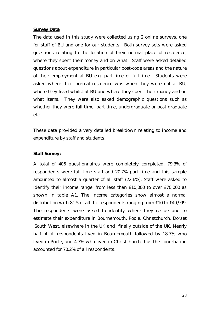#### **Survey Data**

The data used in this study were collected using 2 online surveys, one for staff of BU and one for our students. Both survey sets were asked questions relating to the location of their normal place of residence, where they spent their money and on what. Staff were asked detailed questions about expenditure in particular post-code areas and the nature of their employment at BU e.g. part-time or full-time. Students were asked where their normal residence was when they were not at BU, where they lived whilst at BU and where they spent their money and on what items. They were also asked demographic questions such as whether they were full-time, part-time, undergraduate or post-graduate etc.

These data provided a very detailed breakdown relating to income and expenditure by staff and students.

#### **Staff Survey:**

A total of 406 questionnaires were completely completed, 79.3% of respondents were full time staff and 20.7% part time and this sample amounted to almost a quarter of all staff (22.6%). Staff were asked to identify their income range, from less than £10,000 to over £70,000 as shown in table A1. The income categories show almost a normal distribution with 81.5 of all the respondents ranging from £10 to £49,999. The respondents were asked to identify where they reside and to estimate their expenditure in Bournemouth, Poole, Christchurch, Dorset ,South West, elsewhere in the UK and finally outside of the UK. Nearly half of all respondents lived in Bournemouth followed by 18.7% who lived in Poole, and 4.7% who lived in Christchurch thus the conurbation accounted for 70.2% of all respondents.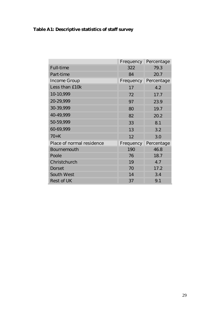|                           | Frequency | Percentage |
|---------------------------|-----------|------------|
| Full-time                 | 322       | 79.3       |
| Part-time                 | 84        | 20.7       |
| Income Group              | Frequency | Percentage |
| Less than £10k            | 17        | 4.2        |
| 10-10,999                 | 72        | 17.7       |
| 20-29,999                 | 97        | 23.9       |
| 30-39,999                 | 80        | 19.7       |
| 40-49,999                 | 82        | 20.2       |
| 50-59,999                 | 33        | 8.1        |
| 60-69,999                 | 13        | 3.2        |
| $70+K$                    | 12        | 3.0        |
| Place of normal residence | Frequency | Percentage |
| Bournemouth               | 190       | 46.8       |
| Poole                     | 76        | 18.7       |
| Christchurch              | 19        | 4.7        |
| Dorset                    | 70        | 17.2       |
| South West                | 14        | 3.4        |
| Rest of UK                | 37        | 9.1        |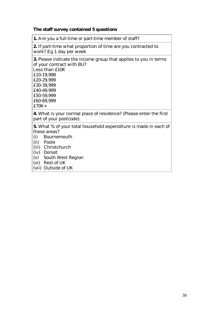**The staff survey contained 5 questions**

**1.** Are you a full-time or part-time member of staff?

**2.** If part-time what proportion of time are you contracted to work? Eg 1 day per week

**3.** Please indicate the income group that applies to you in terms of your contract with BU? Less than £10K £10-19,998 £20-29,999 £30-39,999 £40-49,999 £50-59,999 £60-69,999 £70K+

**4.** What is your normal place of residence? (Please enter the first part of your postcode).

**5.** What % of your total household expenditure is made in each of these areas?

- (i) Bournemouth
- (ii) Poole
- (iii) Christchurch
- (iv) Dorset
- (v) South West Region
- (vi) Rest of UK
- (vii) Outside of UK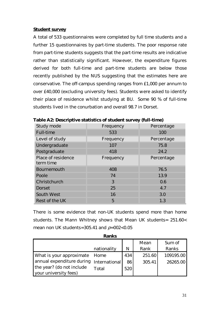#### **Student survey**

A total of 533 questionnaires were completed by full time students and a further 15 questionnaires by part-time students. The poor response rate from part-time students suggests that the part-time results are indicative rather than statistically significant. However, the expenditure figures derived for both full-time and part-time students are below those recently published by the NUS suggesting that the estimates here are conservative. The off-campus spending ranges from £1,000 per annum to over £40,000 (excluding university fees). Students were asked to identify their place of residence whilst studying at BU. Some 90 % of full-time students lived in the conurbation and overall 98.7 in Dorset.

| $10000$ $\mu$ . Dosoriptivo statistics or stadorit sarvoy (fair timo) |            |
|-----------------------------------------------------------------------|------------|
| Frequency                                                             | Percentage |
| 533                                                                   | 100        |
| Frequency                                                             | Percentage |
| 107                                                                   | 75.8       |
| 418                                                                   | 24.2       |
| Frequency                                                             | Percentage |
| 408                                                                   | 76.5       |
| 74                                                                    | 13.9       |
| $\mathcal{S}$                                                         | 0.6        |
| 25                                                                    | 4.7        |
| 16                                                                    | 3.0        |
| 5                                                                     | 1.3        |
|                                                                       |            |

**Table A2: Descriptive statistics of student survey (full-time)** 

There is some evidence that non-UK students spend more than home students. The Mann Whitney shows that Mean UK students= 251.60< mean non UK students=305.41 and  $p=002<0.05$ 

|                               | anks?         |     |        |           |
|-------------------------------|---------------|-----|--------|-----------|
|                               |               |     | Mean   | Sum of    |
|                               | nationality   | N   | Rank   | Ranks     |
| What is your approximate Home |               | 434 | 251.60 | 109195.00 |
| annual expenditure during     | International | 86  | 305.41 | 26265.00  |
| the year? (do not include     | Total         | 520 |        |           |
| your university fees)         |               |     |        |           |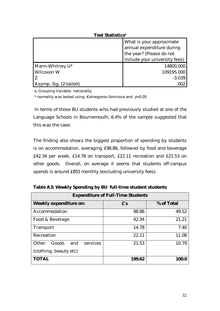| Lest Statisticsª              |                                                                                                                    |  |
|-------------------------------|--------------------------------------------------------------------------------------------------------------------|--|
|                               | What is your approximate<br>annual expenditure during<br>the year? (Please do not<br>include your university fees) |  |
| Mann-Whitney U*<br>Wilcoxon W | 14800.000<br>109195.000<br>$-3.039$                                                                                |  |
| Asymp. Sig. (2-tailed)        |                                                                                                                    |  |

**Test Statistics<sup>a</sup>**

a. Grouping Variable: nationality

 $*$  normality was tested using Kolmogorov-Smirnova and  $p$ <0.05

In terms of those BU students who had previously studied at one of the Language Schools in Bournemouth, 6.4% of the sample suggested that this was the case.

The finding also shows the biggest proportion of spending by students is on accommodation, averaging £98.86, followed by food and beverage £42.34 per week, £14.78 on transport, £22.11 recreation and £21.53 on other goods. Overall, on average it seems that students off-campus spends is around £855 monthly (excluding university fees).

| Expenditure of Full-Time Students |        |            |  |  |  |
|-----------------------------------|--------|------------|--|--|--|
| Weekly expenditure on:            | f's    | % of Total |  |  |  |
| Accommodation                     | 98.86  | 49.52      |  |  |  |
| Food & Beverage                   | 42.34  | 21.21      |  |  |  |
| Transport                         | 14.78  | 7.40       |  |  |  |
| Recreation                        | 22.11  | 11.08      |  |  |  |
| Other<br>Goods<br>services<br>and | 21.53  | 10.79      |  |  |  |
| (clothing, beauty etc)            |        |            |  |  |  |
| <b>TOTAL</b>                      | 199.62 | 100        |  |  |  |

**Table A3: Weekly Spending by BU full-time student students**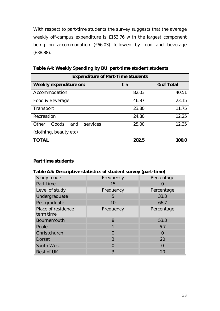With respect to part-time students the survey suggests that the average weekly off-campus expenditure is £153.76 with the largest component being on accommodation (£66.03) followed by food and beverage (£38.88).

| <b>Expenditure of Part-Time Students</b> |       |            |  |
|------------------------------------------|-------|------------|--|
| Weekly expenditure on:                   | f's   | % of Total |  |
| Accommodation                            | 82.03 | 40.51      |  |
| Food & Beverage                          | 46.87 | 23.15      |  |
| Transport                                | 23.80 | 11.75      |  |
| Recreation                               | 24.80 | 12.25      |  |
| services<br>Other<br>Goods<br>and        | 25.00 | 12.35      |  |
| (clothing, beauty etc)                   |       |            |  |
| TOTAL                                    | 202.5 | 100 C      |  |

**Table A4: Weekly Spending by BU part-time student students**

### **Part time students**

**Table A5: Descriptive statistics of student survey (part-time)**

| Study mode                      | Frequency | Percentage |
|---------------------------------|-----------|------------|
| Part-time                       | 15        |            |
| Level of study                  | Frequency | Percentage |
| Undergraduate                   | 5         | 33.3       |
| Postgraduate                    | 10        | 66.7       |
| Place of residence<br>term time | Frequency | Percentage |
| Bournemouth                     | 8         | 53.3       |
| Poole                           |           | 6.7        |
| Christchurch                    | $\bigcap$ | $\bigcap$  |
| <b>Dorset</b>                   | 3         | 20         |
| South West                      | $\bigcap$ | $\bigcap$  |
| Rest of UK                      | 3         | 20         |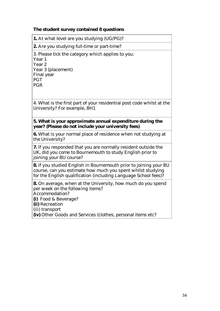**The student survey contained 8 questions**

**1.** At what level are you studying (UG/PG)?

**2.** Are you studying full-time or part-time?

3. Please tick the category which applies to you:

Year 1 Year 2 Year 3 (placement) Final year PGT

PGR

4. What is the first part of your residential post code whilst at the University? For example, BH1

**5. What is your approximate annual expenditure during the year? (Please do not include your university fees)**

**6.** What is your normal place of residence when not studying at the University?

**7.** If you responded that you are normally resident outside the UK, did you come to Bournemouth to study English prior to joining your BU course?

**8.** If you studied English in Bournemouth prior to joining your BU course, can you estimate how much you spent whilst studying for the English qualification (including Language School fees)?

**8.** On average, when at the University, how much do you spend per week on the following items? Accommodation?

**(i)** Food & Beverage?

**(ii)** Recreation

(iii) transport

**(iv)** Other Goods and Services (clothes, personal items etc?